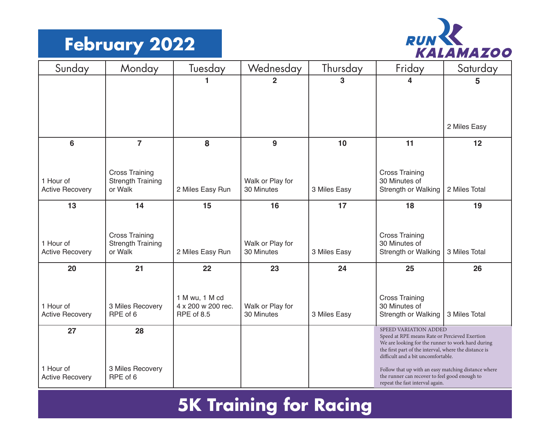#### **February 2022**



| Sunday                              | Monday                              | Tuesday                          | Wednesday                      | Thursday     | Friday                                                                                                                                                      | Saturday      |
|-------------------------------------|-------------------------------------|----------------------------------|--------------------------------|--------------|-------------------------------------------------------------------------------------------------------------------------------------------------------------|---------------|
|                                     |                                     | 1                                | $\overline{2}$                 | 3            | 4                                                                                                                                                           | 5             |
|                                     |                                     |                                  |                                |              |                                                                                                                                                             |               |
|                                     |                                     |                                  |                                |              |                                                                                                                                                             |               |
|                                     |                                     |                                  |                                |              |                                                                                                                                                             | 2 Miles Easy  |
| 6                                   | $\overline{7}$                      | 8                                | 9                              | 10           | 11                                                                                                                                                          | 12            |
|                                     |                                     |                                  |                                |              |                                                                                                                                                             |               |
|                                     | <b>Cross Training</b>               |                                  |                                |              | <b>Cross Training</b>                                                                                                                                       |               |
| 1 Hour of<br><b>Active Recovery</b> | <b>Strength Training</b><br>or Walk | 2 Miles Easy Run                 | Walk or Play for<br>30 Minutes | 3 Miles Easy | 30 Minutes of<br>Strength or Walking                                                                                                                        | 2 Miles Total |
|                                     |                                     |                                  |                                |              |                                                                                                                                                             |               |
| 13                                  | 14                                  | 15                               | 16                             | 17           | 18                                                                                                                                                          | 19            |
|                                     |                                     |                                  |                                |              |                                                                                                                                                             |               |
|                                     | <b>Cross Training</b>               |                                  |                                |              | <b>Cross Training</b>                                                                                                                                       |               |
| 1 Hour of<br><b>Active Recovery</b> | <b>Strength Training</b><br>or Walk | 2 Miles Easy Run                 | Walk or Play for<br>30 Minutes | 3 Miles Easy | 30 Minutes of<br>Strength or Walking                                                                                                                        | 3 Miles Total |
|                                     |                                     |                                  |                                |              |                                                                                                                                                             |               |
| 20                                  | 21                                  | 22                               | 23                             | 24           | 25                                                                                                                                                          | 26            |
|                                     |                                     |                                  |                                |              |                                                                                                                                                             |               |
|                                     |                                     | 1 M wu, 1 M cd                   |                                |              | <b>Cross Training</b>                                                                                                                                       |               |
| 1 Hour of<br><b>Active Recovery</b> | 3 Miles Recovery<br>RPE of 6        | 4 x 200 w 200 rec.<br>RPE of 8.5 | Walk or Play for<br>30 Minutes | 3 Miles Easy | 30 Minutes of<br>Strength or Walking                                                                                                                        | 3 Miles Total |
| 27                                  |                                     |                                  |                                |              | SPEED VARIATION ADDED                                                                                                                                       |               |
|                                     | 28                                  |                                  |                                |              | Speed at RPE means Rate or Percieved Exertion<br>We are looking for the runner to work hard during<br>the first part of the interval, where the distance is |               |
|                                     |                                     |                                  |                                |              | difficult and a bit uncomfortable.                                                                                                                          |               |
| 1 Hour of<br><b>Active Recovery</b> | 3 Miles Recovery<br>RPE of 6        |                                  |                                |              | Follow that up with an easy matching distance where<br>the runner can recover to feel good enough to<br>repeat the fast interval again.                     |               |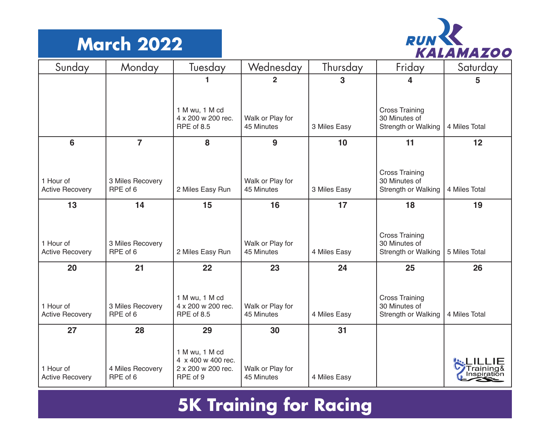#### **March 2022**



| Sunday                              | Monday                       | <b>Tuesday</b>                                                         | Wednesday                      | Thursday     | Friday                                                        | Saturday      |
|-------------------------------------|------------------------------|------------------------------------------------------------------------|--------------------------------|--------------|---------------------------------------------------------------|---------------|
|                                     |                              |                                                                        | $\overline{2}$                 | 3            | 4                                                             | 5             |
|                                     |                              | 1 M wu, 1 M cd<br>4 x 200 w 200 rec.<br>RPE of 8.5                     | Walk or Play for<br>45 Minutes | 3 Miles Easy | <b>Cross Training</b><br>30 Minutes of<br>Strength or Walking | 4 Miles Total |
| 6                                   | $\overline{7}$               | 8                                                                      | 9                              | 10           | 11                                                            | 12            |
| 1 Hour of<br><b>Active Recovery</b> | 3 Miles Recovery<br>RPE of 6 | 2 Miles Easy Run                                                       | Walk or Play for<br>45 Minutes | 3 Miles Easy | <b>Cross Training</b><br>30 Minutes of<br>Strength or Walking | 4 Miles Total |
| 13                                  | 14                           | 15                                                                     | 16                             | 17           | 18                                                            | 19            |
| 1 Hour of<br><b>Active Recovery</b> | 3 Miles Recovery<br>RPE of 6 | 2 Miles Easy Run                                                       | Walk or Play for<br>45 Minutes | 4 Miles Easy | <b>Cross Training</b><br>30 Minutes of<br>Strength or Walking | 5 Miles Total |
| 20                                  | 21                           | 22                                                                     | 23                             | 24           | 25                                                            | 26            |
| 1 Hour of<br><b>Active Recovery</b> | 3 Miles Recovery<br>RPE of 6 | 1 M wu, 1 M cd<br>4 x 200 w 200 rec.<br>RPE of 8.5                     | Walk or Play for<br>45 Minutes | 4 Miles Easy | <b>Cross Training</b><br>30 Minutes of<br>Strength or Walking | 4 Miles Total |
| 27                                  | 28                           | 29                                                                     | 30                             | 31           |                                                               |               |
| 1 Hour of<br><b>Active Recovery</b> | 4 Miles Recovery<br>RPE of 6 | 1 M wu, 1 M cd<br>4 x 400 w 400 rec.<br>2 x 200 w 200 rec.<br>RPE of 9 | Walk or Play for<br>45 Minutes | 4 Miles Easy |                                                               |               |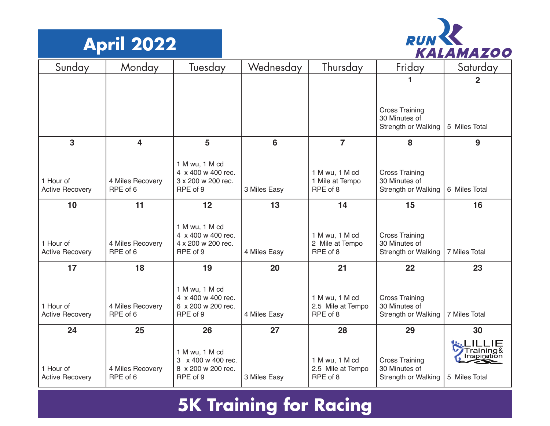



| Sunday                              | Monday                       | Tuesday                                  | Wednesday    | Thursday                          | Friday                                 | Saturday                 |
|-------------------------------------|------------------------------|------------------------------------------|--------------|-----------------------------------|----------------------------------------|--------------------------|
|                                     |                              |                                          |              |                                   |                                        | $\mathbf 2$              |
|                                     |                              |                                          |              |                                   |                                        |                          |
|                                     |                              |                                          |              |                                   | <b>Cross Training</b>                  |                          |
|                                     |                              |                                          |              |                                   | 30 Minutes of<br>Strength or Walking   | 5 Miles Total            |
| 3                                   | $\overline{\mathbf{4}}$      | 5                                        | 6            | $\overline{7}$                    | 8                                      | 9                        |
|                                     |                              | 1 M wu, 1 M cd                           |              |                                   |                                        |                          |
| 1 Hour of                           | 4 Miles Recovery             | 4 x 400 w 400 rec.<br>3 x 200 w 200 rec. |              | 1 M wu, 1 M cd<br>1 Mile at Tempo | <b>Cross Training</b><br>30 Minutes of |                          |
| <b>Active Recovery</b>              | RPE of 6                     | RPE of 9                                 | 3 Miles Easy | RPE of 8                          | Strength or Walking                    | 6 Miles Total            |
| 10                                  | 11                           | 12                                       | 13           | 14                                | 15                                     | 16                       |
|                                     |                              | 1 M wu, 1 M cd                           |              |                                   |                                        |                          |
|                                     |                              | 4 x 400 w 400 rec.                       |              | 1 M wu, 1 M cd                    | <b>Cross Training</b>                  |                          |
| 1 Hour of<br><b>Active Recovery</b> | 4 Miles Recovery<br>RPE of 6 | 4 x 200 w 200 rec.<br>RPE of 9           | 4 Miles Easy | 2 Mile at Tempo<br>RPE of 8       | 30 Minutes of<br>Strength or Walking   | 7 Miles Total            |
| 17                                  | 18                           | 19                                       | 20           | 21                                | 22                                     | 23                       |
|                                     |                              | 1 M wu, 1 M cd                           |              |                                   |                                        |                          |
|                                     |                              | 4 x 400 w 400 rec.                       |              | 1 M wu, 1 M cd                    | <b>Cross Training</b>                  |                          |
| 1 Hour of<br><b>Active Recovery</b> | 4 Miles Recovery<br>RPE of 6 | 6 x 200 w 200 rec.<br>RPE of 9           | 4 Miles Easy | 2.5 Mile at Tempo<br>RPE of 8     | 30 Minutes of<br>Strength or Walking   | 7 Miles Total            |
| 24                                  | 25                           | 26                                       | 27           | 28                                | 29                                     | 30                       |
|                                     |                              |                                          |              |                                   |                                        |                          |
|                                     |                              | 1 M wu, 1 M cd<br>3 x 400 w 400 rec.     |              | 1 M wu, 1 M cd                    | <b>Cross Training</b>                  | Training&<br>Inspiration |
| 1 Hour of                           | 4 Miles Recovery             | 8 x 200 w 200 rec.                       |              | 2.5 Mile at Tempo                 | 30 Minutes of                          |                          |
| <b>Active Recovery</b>              | RPE of 6                     | RPE of 9                                 | 3 Miles Easy | RPE of 8                          | Strength or Walking                    | 5 Miles Total            |